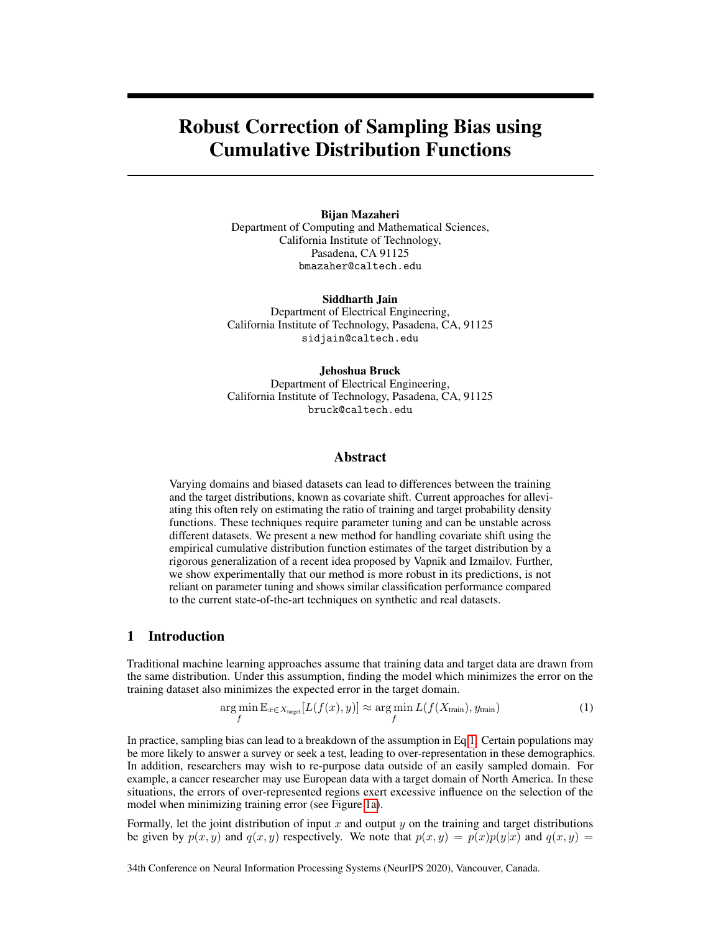# Robust Correction of Sampling Bias using Cumulative Distribution Functions

#### Bijan Mazaheri

Department of Computing and Mathematical Sciences, California Institute of Technology, Pasadena, CA 91125 bmazaher@caltech.edu

Siddharth Jain Department of Electrical Engineering, California Institute of Technology, Pasadena, CA, 91125 sidjain@caltech.edu

#### Jehoshua Bruck

Department of Electrical Engineering, California Institute of Technology, Pasadena, CA, 91125 bruck@caltech.edu

# Abstract

Varying domains and biased datasets can lead to differences between the training and the target distributions, known as covariate shift. Current approaches for alleviating this often rely on estimating the ratio of training and target probability density functions. These techniques require parameter tuning and can be unstable across different datasets. We present a new method for handling covariate shift using the empirical cumulative distribution function estimates of the target distribution by a rigorous generalization of a recent idea proposed by Vapnik and Izmailov. Further, we show experimentally that our method is more robust in its predictions, is not reliant on parameter tuning and shows similar classification performance compared to the current state-of-the-art techniques on synthetic and real datasets.

# 1 Introduction

Traditional machine learning approaches assume that training data and target data are drawn from the same distribution. Under this assumption, finding the model which minimizes the error on the training dataset also minimizes the expected error in the target domain.

<span id="page-0-0"></span>
$$
\underset{f}{\arg\min} \mathbb{E}_{x \in X_{\text{target}}}[L(f(x), y)] \approx \underset{f}{\arg\min} L(f(X_{\text{train}}), y_{\text{train}}) \tag{1}
$$

In practice, sampling bias can lead to a breakdown of the assumption in Eq[.1.](#page-0-0) Certain populations may be more likely to answer a survey or seek a test, leading to over-representation in these demographics. In addition, researchers may wish to re-purpose data outside of an easily sampled domain. For example, a cancer researcher may use European data with a target domain of North America. In these situations, the errors of over-represented regions exert excessive influence on the selection of the model when minimizing training error (see Figure [1a\)](#page-2-0).

Formally, let the joint distribution of input x and output  $y$  on the training and target distributions be given by  $p(x, y)$  and  $q(x, y)$  respectively. We note that  $p(x, y) = p(x)p(y|x)$  and  $q(x, y) = p(x)p(y|x)$ 

34th Conference on Neural Information Processing Systems (NeurIPS 2020), Vancouver, Canada.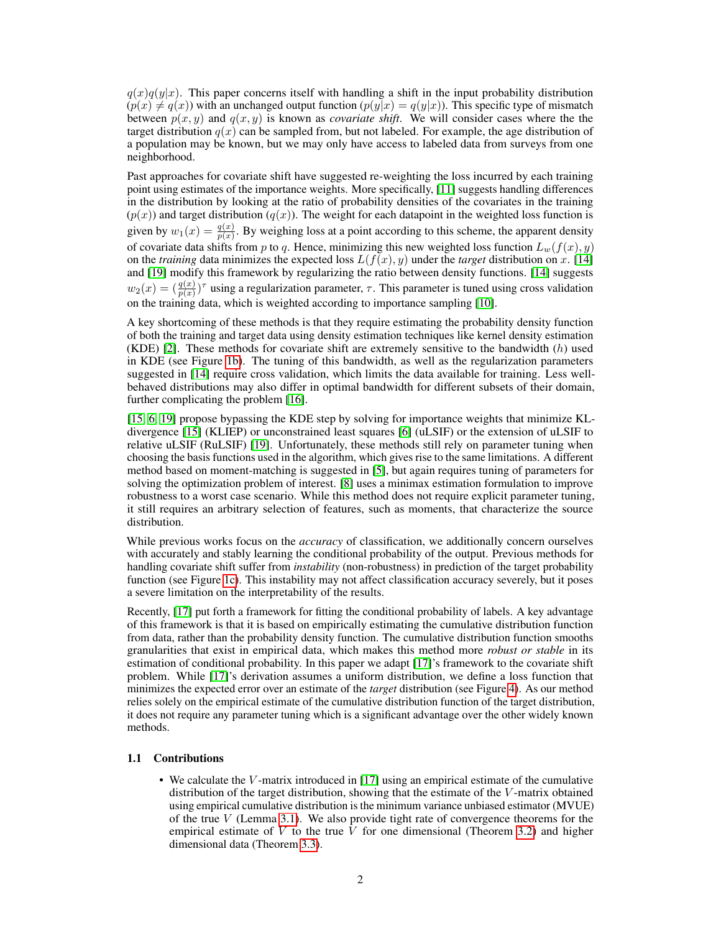$q(x)q(y|x)$ . This paper concerns itself with handling a shift in the input probability distribution  $(p(x) \neq q(x))$  with an unchanged output function  $(p(y|x) = q(y|x))$ . This specific type of mismatch between  $p(x, y)$  and  $q(x, y)$  is known as *covariate shift*. We will consider cases where the the target distribution  $q(x)$  can be sampled from, but not labeled. For example, the age distribution of a population may be known, but we may only have access to labeled data from surveys from one neighborhood.

Past approaches for covariate shift have suggested re-weighting the loss incurred by each training point using estimates of the importance weights. More specifically, [\[11\]](#page-13-0) suggests handling differences in the distribution by looking at the ratio of probability densities of the covariates in the training  $(p(x))$  and target distribution  $(q(x))$ . The weight for each datapoint in the weighted loss function is given by  $w_1(x) = \frac{q(x)}{p(x)}$ . By weighing loss at a point according to this scheme, the apparent density of covariate data shifts from p to q. Hence, minimizing this new weighted loss function  $L_w(f(x), y)$ on the *training* data minimizes the expected loss  $L(f(x), y)$  under the *target* distribution on x. [\[14\]](#page-14-0) and [\[19\]](#page-14-1) modify this framework by regularizing the ratio between density functions. [\[14\]](#page-14-0) suggests  $w_2(x) = (\frac{q(x)}{p(x)})^{\tau}$  using a regularization parameter,  $\tau$ . This parameter is tuned using cross validation on the training data, which is weighted according to importance sampling [\[10\]](#page-13-1).

A key shortcoming of these methods is that they require estimating the probability density function of both the training and target data using density estimation techniques like kernel density estimation (KDE) [\[2\]](#page-13-2). These methods for covariate shift are extremely sensitive to the bandwidth  $(h)$  used in KDE (see Figure [1b\)](#page-2-1). The tuning of this bandwidth, as well as the regularization parameters suggested in [\[14\]](#page-14-0) require cross validation, which limits the data available for training. Less wellbehaved distributions may also differ in optimal bandwidth for different subsets of their domain, further complicating the problem [\[16\]](#page-14-2).

[\[15,](#page-14-3) [6,](#page-13-3) [19\]](#page-14-1) propose bypassing the KDE step by solving for importance weights that minimize KLdivergence [\[15\]](#page-14-3) (KLIEP) or unconstrained least squares [\[6\]](#page-13-3) (uLSIF) or the extension of uLSIF to relative uLSIF (RuLSIF) [\[19\]](#page-14-1). Unfortunately, these methods still rely on parameter tuning when choosing the basis functions used in the algorithm, which gives rise to the same limitations. A different method based on moment-matching is suggested in [\[5\]](#page-13-4), but again requires tuning of parameters for solving the optimization problem of interest. [\[8\]](#page-13-5) uses a minimax estimation formulation to improve robustness to a worst case scenario. While this method does not require explicit parameter tuning, it still requires an arbitrary selection of features, such as moments, that characterize the source distribution.

While previous works focus on the *accuracy* of classification, we additionally concern ourselves with accurately and stably learning the conditional probability of the output. Previous methods for handling covariate shift suffer from *instability* (non-robustness) in prediction of the target probability function (see Figure [1c\)](#page-2-2). This instability may not affect classification accuracy severely, but it poses a severe limitation on the interpretability of the results.

Recently, [\[17\]](#page-14-4) put forth a framework for fitting the conditional probability of labels. A key advantage of this framework is that it is based on empirically estimating the cumulative distribution function from data, rather than the probability density function. The cumulative distribution function smooths granularities that exist in empirical data, which makes this method more *robust or stable* in its estimation of conditional probability. In this paper we adapt [\[17\]](#page-14-4)'s framework to the covariate shift problem. While [\[17\]](#page-14-4)'s derivation assumes a uniform distribution, we define a loss function that minimizes the expected error over an estimate of the *target* distribution (see Figure [4\)](#page-5-0). As our method relies solely on the empirical estimate of the cumulative distribution function of the target distribution, it does not require any parameter tuning which is a significant advantage over the other widely known methods.

#### 1.1 Contributions

• We calculate the *V*-matrix introduced in [\[17\]](#page-14-4) using an empirical estimate of the cumulative distribution of the target distribution, showing that the estimate of the V-matrix obtained using empirical cumulative distribution is the minimum variance unbiased estimator (MVUE) of the true  $V$  (Lemma [3.1\)](#page-6-0). We also provide tight rate of convergence theorems for the empirical estimate of V to the true  $\hat{V}$  for one dimensional (Theorem [3.2\)](#page-6-1) and higher dimensional data (Theorem [3.3\)](#page-7-0).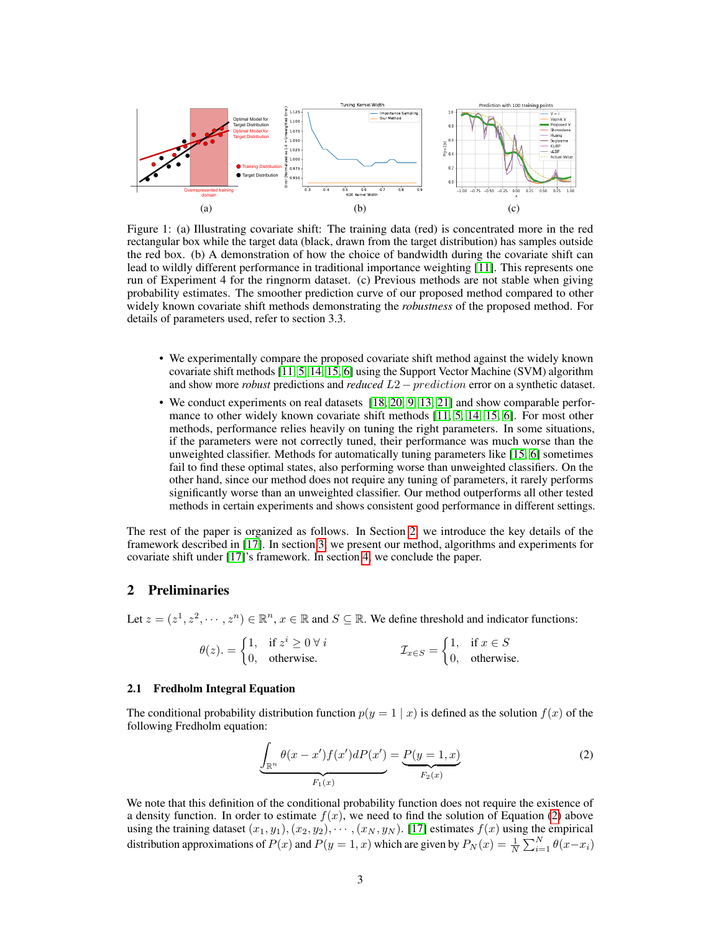<span id="page-2-0"></span>

<span id="page-2-2"></span><span id="page-2-1"></span>Figure 1: (a) Illustrating covariate shift: The training data (red) is concentrated more in the red rectangular box while the target data (black, drawn from the target distribution) has samples outside the red box. (b) A demonstration of how the choice of bandwidth during the covariate shift can lead to wildly different performance in traditional importance weighting [\[11\]](#page-13-0). This represents one run of Experiment 4 for the ringnorm dataset. (c) Previous methods are not stable when giving probability estimates. The smoother prediction curve of our proposed method compared to other widely known covariate shift methods demonstrating the *robustness* of the proposed method. For details of parameters used, refer to section 3.3.

- We experimentally compare the proposed covariate shift method against the widely known covariate shift methods [\[11,](#page-13-0) [5,](#page-13-4) [14,](#page-14-0) [15,](#page-14-3) [6\]](#page-13-3) using the Support Vector Machine (SVM) algorithm and show more *robust* predictions and *reduced* L2 − prediction error on a synthetic dataset.
- We conduct experiments on real datasets [\[18,](#page-14-5) [20,](#page-14-6) [9,](#page-13-6) [13,](#page-14-7) [21\]](#page-14-8) and show comparable performance to other widely known covariate shift methods [\[11,](#page-13-0) [5,](#page-13-4) [14,](#page-14-0) [15,](#page-14-3) [6\]](#page-13-3). For most other methods, performance relies heavily on tuning the right parameters. In some situations, if the parameters were not correctly tuned, their performance was much worse than the unweighted classifier. Methods for automatically tuning parameters like [\[15,](#page-14-3) [6\]](#page-13-3) sometimes fail to find these optimal states, also performing worse than unweighted classifiers. On the other hand, since our method does not require any tuning of parameters, it rarely performs significantly worse than an unweighted classifier. Our method outperforms all other tested methods in certain experiments and shows consistent good performance in different settings.

The rest of the paper is organized as follows. In Section [2,](#page-2-3) we introduce the key details of the framework described in [\[17\]](#page-14-4). In section [3,](#page-4-0) we present our method, algorithms and experiments for covariate shift under [\[17\]](#page-14-4)'s framework. In section [4,](#page-10-0) we conclude the paper.

# <span id="page-2-3"></span>2 Preliminaries

Let  $z = (z^1, z^2, \dots, z^n) \in \mathbb{R}^n$ ,  $x \in \mathbb{R}$  and  $S \subseteq \mathbb{R}$ . We define threshold and indicator functions:

$$
\theta(z) = \begin{cases} 1, & \text{if } z^i \ge 0 \ \forall \ i \\ 0, & \text{otherwise.} \end{cases} \qquad \qquad \mathcal{I}_{x \in S} = \begin{cases} 1, & \text{if } x \in S \\ 0, & \text{otherwise.} \end{cases}
$$

#### 2.1 Fredholm Integral Equation

The conditional probability distribution function  $p(y = 1 | x)$  is defined as the solution  $f(x)$  of the following Fredholm equation:

<span id="page-2-4"></span>
$$
\underbrace{\int_{\mathbb{R}^n} \theta(x - x') f(x') dP(x')}_{F_1(x)} = \underbrace{P(y = 1, x)}_{F_2(x)}
$$
(2)

We note that this definition of the conditional probability function does not require the existence of a density function. In order to estimate  $f(x)$ , we need to find the solution of Equation [\(2\)](#page-2-4) above using the training dataset  $(x_1, y_1), (x_2, y_2), \cdots, (x_N, y_N)$ . [\[17\]](#page-14-4) estimates  $f(x)$  using the empirical distribution approximations of  $P(x)$  and  $P(y = 1, x)$  which are given by  $P_N(x) = \frac{1}{N} \sum_{i=1}^N \theta(x - x_i)$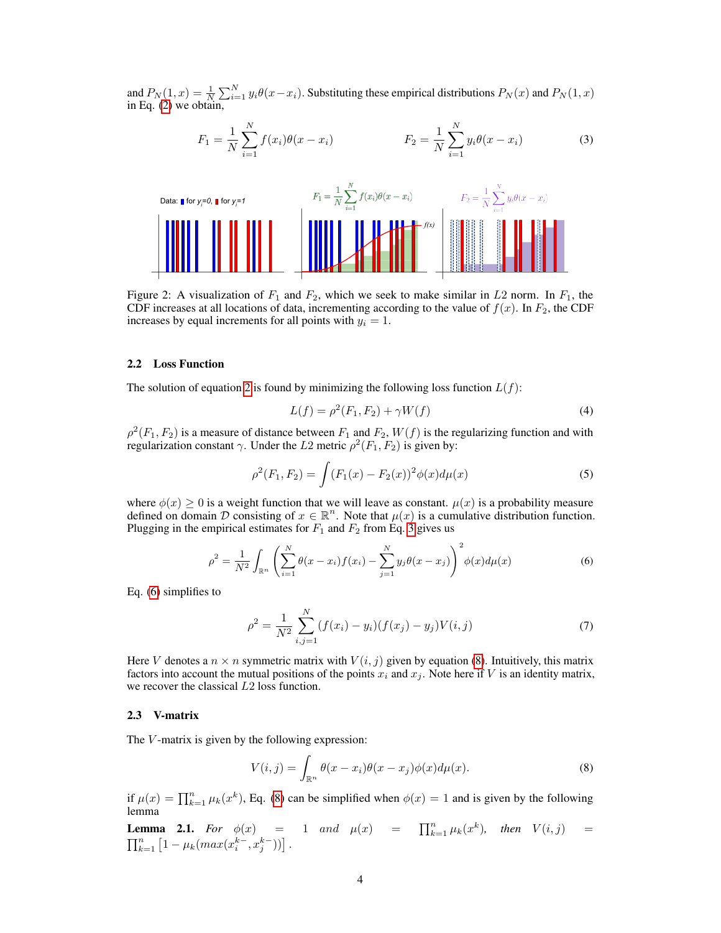and  $P_N(1,x) = \frac{1}{N} \sum_{i=1}^N y_i \theta(x-x_i)$ . Substituting these empirical distributions  $P_N(x)$  and  $P_N(1,x)$ in Eq. [\(2\)](#page-2-4) we obtain,

<span id="page-3-0"></span>
$$
F_1 = \frac{1}{N} \sum_{i=1}^{N} f(x_i) \theta(x - x_i)
$$
\n
$$
F_2 = \frac{1}{N} \sum_{i=1}^{N} y_i \theta(x - x_i)
$$
\n(3)



Figure 2: A visualization of  $F_1$  and  $F_2$ , which we seek to make similar in L2 norm. In  $F_1$ , the CDF increases at all locations of data, incrementing according to the value of  $f(x)$ . In  $F_2$ , the CDF increases by equal increments for all points with  $y_i = 1$ .

#### 2.2 Loss Function

The solution of equation [2](#page-2-4) is found by minimizing the following loss function  $L(f)$ :

<span id="page-3-4"></span><span id="page-3-1"></span>
$$
L(f) = \rho^{2}(F_1, F_2) + \gamma W(f)
$$
\n(4)

 $\rho^2(F_1, F_2)$  is a measure of distance between  $F_1$  and  $F_2$ ,  $W(f)$  is the regularizing function and with regularization constant  $\gamma$ . Under the L2 metric  $\rho^2(F_1, F_2)$  is given by:

$$
\rho^{2}(F_{1}, F_{2}) = \int (F_{1}(x) - F_{2}(x))^{2} \phi(x) d\mu(x)
$$
\n(5)

where  $\phi(x) \geq 0$  is a weight function that we will leave as constant.  $\mu(x)$  is a probability measure defined on domain D consisting of  $x \in \mathbb{R}^n$ . Note that  $\mu(x)$  is a cumulative distribution function. Plugging in the empirical estimates for  $F_1$  and  $F_2$  from Eq. [3](#page-3-0) gives us

$$
\rho^2 = \frac{1}{N^2} \int_{\mathbb{R}^n} \left( \sum_{i=1}^N \theta(x - x_i) f(x_i) - \sum_{j=1}^N y_j \theta(x - x_j) \right)^2 \phi(x) d\mu(x) \tag{6}
$$

Eq. [\(6\)](#page-3-1) simplifies to

<span id="page-3-5"></span>
$$
\rho^2 = \frac{1}{N^2} \sum_{i,j=1}^{N} (f(x_i) - y_i)(f(x_j) - y_j)V(i,j) \tag{7}
$$

Here V denotes a  $n \times n$  symmetric matrix with  $V(i, j)$  given by equation [\(8\)](#page-3-2). Intuitively, this matrix factors into account the mutual positions of the points  $x_i$  and  $x_j$ . Note here if V is an identity matrix, we recover the classical L2 loss function.

#### 2.3 V-matrix

The  $V$ -matrix is given by the following expression:

<span id="page-3-2"></span>
$$
V(i,j) = \int_{\mathbb{R}^n} \theta(x - x_i)\theta(x - x_j)\phi(x)d\mu(x).
$$
 (8)

if  $\mu(x) = \prod_{k=1}^{n} \mu_k(x^k)$ , Eq. [\(8\)](#page-3-2) can be simplified when  $\phi(x) = 1$  and is given by the following lemma

<span id="page-3-3"></span>**Lemma 2.1.** For 
$$
\phi(x) = 1
$$
 and  $\mu(x) = \prod_{k=1}^{n} \mu_k(x^k)$ , then  $V(i, j) = \prod_{k=1}^{n} [1 - \mu_k(max(x_i^{k-}, x_j^{k-}))]$ .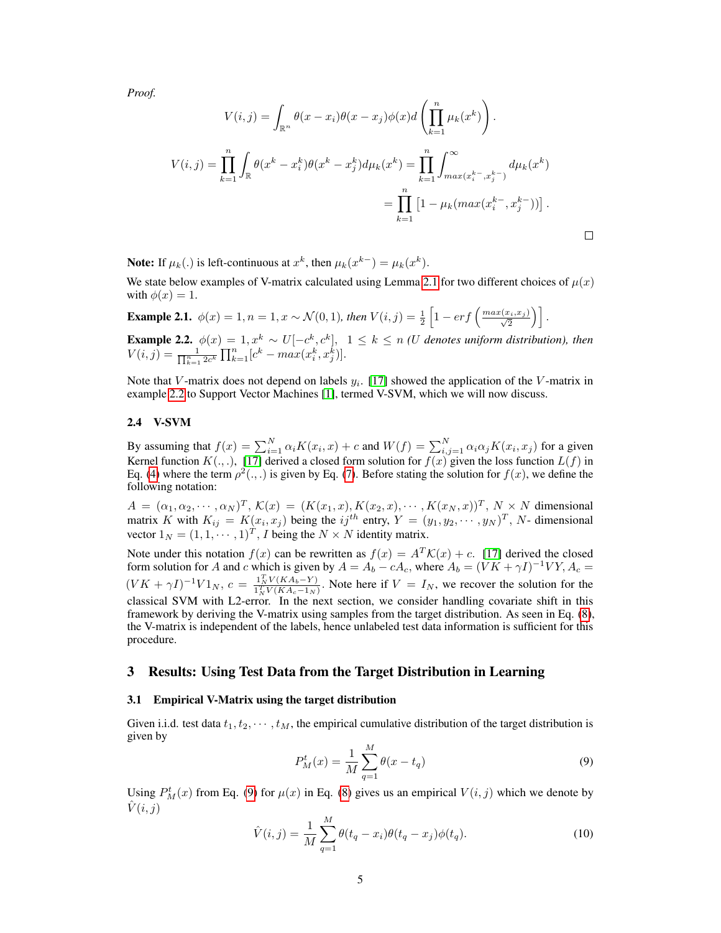*Proof.*

$$
V(i,j) = \int_{\mathbb{R}^n} \theta(x - x_i)\theta(x - x_j)\phi(x)d\left(\prod_{k=1}^n \mu_k(x^k)\right).
$$
  

$$
V(i,j) = \prod_{k=1}^n \int_{\mathbb{R}} \theta(x^k - x_i^k)\theta(x^k - x_j^k)d\mu_k(x^k) = \prod_{k=1}^n \int_{\max(x_i^k - x_j^{k-})}^{\infty} d\mu_k(x^k)
$$

$$
= \prod_{k=1}^n \left[1 - \mu_k(\max(x_i^{k-}, x_j^{k-}))\right].
$$

**Note:** If  $\mu_k(.)$  is left-continuous at  $x^k$ , then  $\mu_k(x^{k-}) = \mu_k(x^k)$ .

We state below examples of V-matrix calculated using Lemma [2.1](#page-3-3) for two different choices of  $\mu(x)$ with  $\phi(x) = 1$ .

**Example 2.1.**  $\phi(x) = 1, n = 1, x \sim \mathcal{N}(0, 1)$ , then  $V(i, j) = \frac{1}{2} \left[ 1 - erf\left(\frac{max(x_i, x_j)}{\sqrt{2}}\right) \right]$ .

<span id="page-4-1"></span>**Example 2.2.**  $\phi(x) = 1, x^k \sim U[-c^k, c^k], 1 \leq k \leq n$  *(U denotes uniform distribution), then*  $V(i, j) = \frac{1}{\prod_{k=1}^{n} 2c^k} \prod_{k=1}^{n} [c^k - max(x_i^k, x_j^k)].$ 

Note that V-matrix does not depend on labels  $y_i$ . [\[17\]](#page-14-4) showed the application of the V-matrix in example [2.2](#page-4-1) to Support Vector Machines [\[1\]](#page-13-7), termed V-SVM, which we will now discuss.

#### 2.4 V-SVM

By assuming that  $f(x) = \sum_{i=1}^{N} \alpha_i K(x_i, x) + c$  and  $W(f) = \sum_{i,j=1}^{N} \alpha_i \alpha_j K(x_i, x_j)$  for a given Kernel function  $K(.,.),$  [\[17\]](#page-14-4) derived a closed form solution for  $f(x)$  given the loss function  $L(f)$  in Eq. [\(4\)](#page-3-4) where the term  $\rho^2(.,.)$  is given by Eq. [\(7\)](#page-3-5). Before stating the solution for  $f(x)$ , we define the following notation:

 $A = (\alpha_1, \alpha_2, \cdots, \alpha_N)^T$ ,  $\mathcal{K}(x) = (K(x_1, x), K(x_2, x), \cdots, K(x_N, x))^T$ ,  $N \times N$  dimensional matrix K with  $K_{ij} = K(x_i, x_j)$  being the  $ij^{th}$  entry,  $Y = (y_1, y_2, \dots, y_N)^T$ , N- dimensional vector  $1_N = (1, 1, \dots, 1)^T$ , *I* being the  $N \times N$  identity matrix.

Note under this notation  $f(x)$  can be rewritten as  $f(x) = A^T \mathcal{K}(x) + c$ . [\[17\]](#page-14-4) derived the closed form solution for A and c which is given by  $A = A_b - cA_c$ , where  $A_b = (VK + \gamma I)^{-1} VY$ ,  $A_c =$  $(VK + \gamma I)^{-1}V1_N$ ,  $c = \frac{1_N^TV(KA_b - Y)}{1_N^TV(KA_c - 1_N)}$ . Note here if  $V = I_N$ , we recover the solution for the classical SVM with L2-error. In the next section, we consider handling covariate shift in this framework by deriving the V-matrix using samples from the target distribution. As seen in Eq. [\(8\)](#page-3-2), the V-matrix is independent of the labels, hence unlabeled test data information is sufficient for this procedure.

## <span id="page-4-0"></span>3 Results: Using Test Data from the Target Distribution in Learning

#### 3.1 Empirical V-Matrix using the target distribution

<span id="page-4-2"></span>Given i.i.d. test data  $t_1, t_2, \cdots, t_M$ , the empirical cumulative distribution of the target distribution is given by

$$
P_M^t(x) = \frac{1}{M} \sum_{q=1}^{M} \theta(x - t_q)
$$
\n(9)

Using  $P_M^t(x)$  from Eq. [\(9\)](#page-4-2) for  $\mu(x)$  in Eq. [\(8\)](#page-3-2) gives us an empirical  $V(i, j)$  which we denote by  $V(i, j)$ 

$$
\hat{V}(i,j) = \frac{1}{M} \sum_{q=1}^{M} \theta(t_q - x_i) \theta(t_q - x_j) \phi(t_q).
$$
\n(10)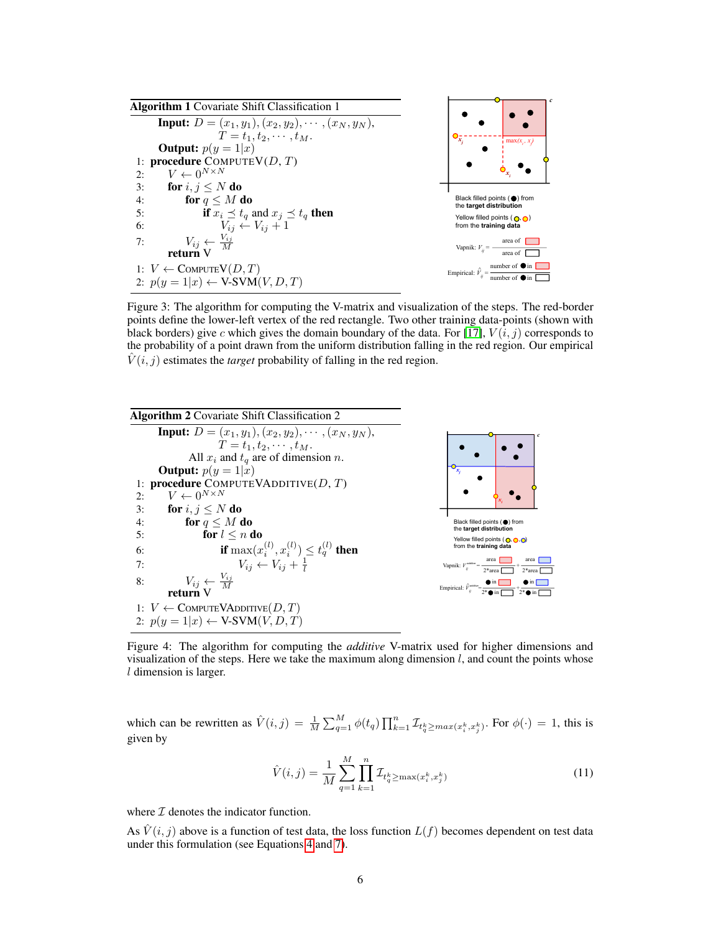

Figure 3: The algorithm for computing the V-matrix and visualization of the steps. The red-border points define the lower-left vertex of the red rectangle. Two other training data-points (shown with black borders) give c which gives the domain boundary of the data. For [\[17\]](#page-14-4),  $V(i, j)$  corresponds to the probability of a point drawn from the uniform distribution falling in the red region. Our empirical  $V(i, j)$  estimates the *target* probability of falling in the red region.

<span id="page-5-0"></span>

Figure 4: The algorithm for computing the *additive* V-matrix used for higher dimensions and visualization of the steps. Here we take the maximum along dimension  $l$ , and count the points whose l dimension is larger.

<span id="page-5-1"></span>which can be rewritten as  $\hat{V}(i,j) = \frac{1}{M} \sum_{q=1}^{M} \phi(t_q) \prod_{k=1}^{n} \mathcal{I}_{t_q^k \geq max(x_i^k, x_j^k)}$ . For  $\phi(\cdot) = 1$ , this is given by

$$
\hat{V}(i,j) = \frac{1}{M} \sum_{q=1}^{M} \prod_{k=1}^{n} \mathcal{I}_{t_q^k \ge \max(x_i^k, x_j^k)}
$$
\n(11)

where  $I$  denotes the indicator function.

As  $\hat{V}(i, j)$  above is a function of test data, the loss function  $L(f)$  becomes dependent on test data under this formulation (see Equations [4](#page-3-4) and [7\)](#page-3-5).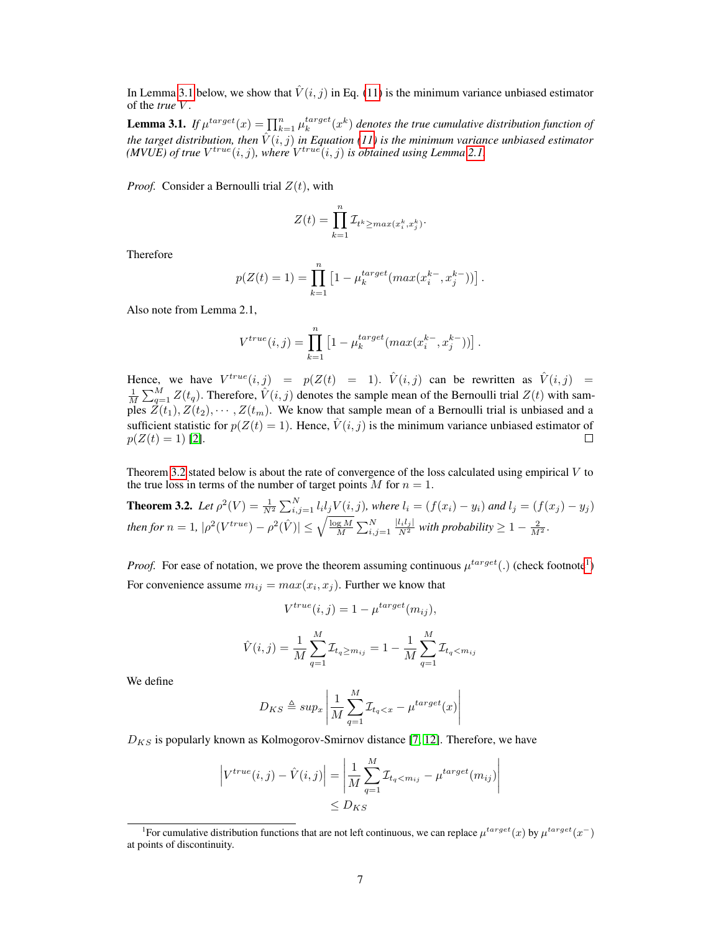In Lemma [3.1](#page-6-0) below, we show that  $\hat{V}(i, j)$  in Eq. [\(11\)](#page-5-1) is the minimum variance unbiased estimator of the *true* V .

<span id="page-6-0"></span>**Lemma 3.1.** If  $\mu^{target}(x) = \prod_{k=1}^{n} \mu_k^{target}(x^k)$  denotes the true cumulative distribution function of *the target distribution, then*  $\hat{V}(i, j)$  *in Equation [\(11\)](#page-5-1) is the minimum variance unbiased estimator (MVUE) of true*  $V^{true}(i, j)$ *, where*  $V^{true}(i, j)$  *is obtained using Lemma [2.1.](#page-3-3)* 

*Proof.* Consider a Bernoulli trial  $Z(t)$ , with

$$
Z(t) = \prod_{k=1}^{n} \mathcal{I}_{t^k \ge max(x_i^k, x_j^k)}.
$$

Therefore

$$
p(Z(t) = 1) = \prod_{k=1}^{n} \left[ 1 - \mu_k^{target}(max(x_i^{k-}, x_j^{k-})) \right].
$$

Also note from Lemma 2.1,

$$
V^{true}(i,j) = \prod_{k=1}^{n} \left[ 1 - \mu_k^{target}(max(x_i^{k-}, x_j^{k-})) \right].
$$

Hence, we have  $V^{true}(i,j) = p(Z(t) = 1)$ .  $\hat{V}(i,j)$  can be rewritten as  $\hat{V}(i,j) =$  $\frac{1}{M}\sum_{q=1}^{M} Z(t_q)$ . Therefore,  $\hat{V}(i, j)$  denotes the sample mean of the Bernoulli trial  $Z(t)$  with samples  $Z(t_1), Z(t_2), \cdots, Z(t_m)$ . We know that sample mean of a Bernoulli trial is unbiased and a sufficient statistic for  $p(Z(t) = 1)$ . Hence,  $\hat{V}(i, j)$  is the minimum variance unbiased estimator of  $p(Z(t) = 1)$  [\[2\]](#page-13-2).  $\Box$ 

Theorem [3.2](#page-6-1) stated below is about the rate of convergence of the loss calculated using empirical  $V$  to the true loss in terms of the number of target points  $M$  for  $n = 1$ .

<span id="page-6-1"></span>**Theorem 3.2.** Let 
$$
\rho^2(V) = \frac{1}{N^2} \sum_{i,j=1}^N l_i l_j V(i,j)
$$
, where  $l_i = (f(x_i) - y_i)$  and  $l_j = (f(x_j) - y_j)$   
then for  $n = 1$ ,  $|\rho^2(V^{true}) - \rho^2(\hat{V})| \le \sqrt{\frac{\log M}{M}} \sum_{i,j=1}^N \frac{|l_i l_j|}{N^2}$  with probability  $\ge 1 - \frac{2}{M^2}$ .

*Proof.* For ease of notation, we prove the theorem assuming continuous  $\mu^{target}(.)$  (check footnote<sup>[1](#page-6-2)</sup>) For convenience assume  $m_{ij} = max(x_i, x_j)$ . Further we know that

$$
V^{true}(i,j) = 1 - \mu^{target}(m_{ij}),
$$
  

$$
\hat{V}(i,j) = \frac{1}{M} \sum_{q=1}^{M} \mathcal{I}_{t_q \ge m_{ij}} = 1 - \frac{1}{M} \sum_{q=1}^{M} \mathcal{I}_{t_q < m_{ij}}
$$

We define

$$
D_{KS} \triangleq \sup x \left| \frac{1}{M} \sum_{q=1}^{M} \mathcal{I}_{t_q < x} - \mu^{target}(x) \right|
$$

 $D_{KS}$  is popularly known as Kolmogorov-Smirnov distance [\[7,](#page-13-8) [12\]](#page-13-9). Therefore, we have

$$
\left| V^{true}(i,j) - \hat{V}(i,j) \right| = \left| \frac{1}{M} \sum_{q=1}^{M} \mathcal{I}_{t_q < m_{ij}} - \mu^{target}(m_{ij}) \right|
$$
\n
$$
\leq D_{KS}
$$

<span id="page-6-2"></span><sup>&</sup>lt;sup>1</sup>For cumulative distribution functions that are not left continuous, we can replace  $\mu^{target}(x)$  by  $\mu^{target}(x^-)$ at points of discontinuity.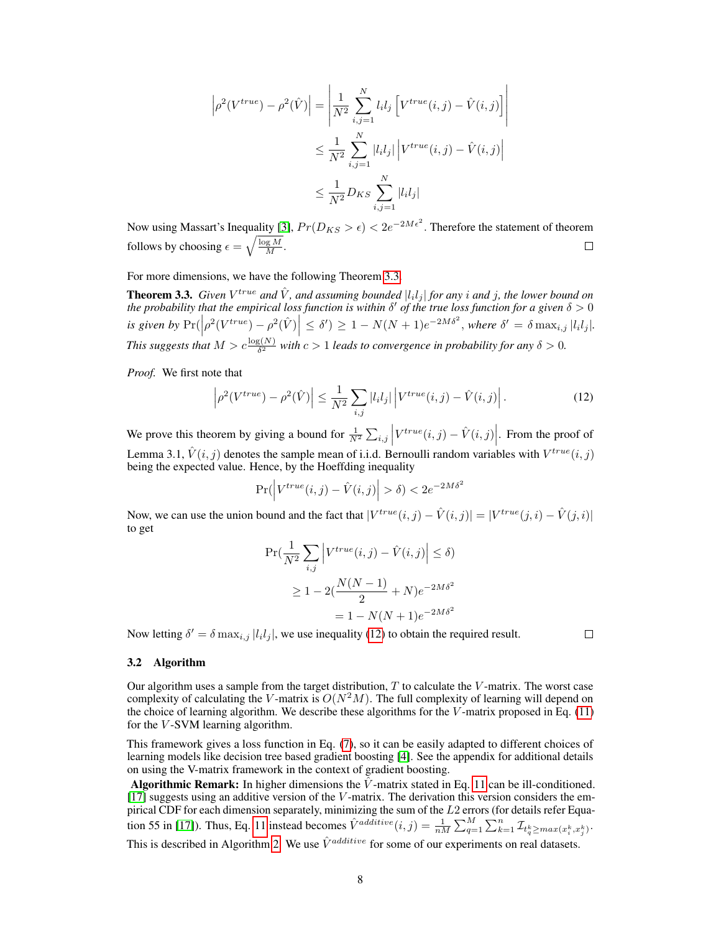$$
\left| \rho^{2}(V^{true}) - \rho^{2}(\hat{V}) \right| = \left| \frac{1}{N^{2}} \sum_{i,j=1}^{N} l_{i} l_{j} \left[ V^{true}(i,j) - \hat{V}(i,j) \right] \right|
$$
  

$$
\leq \frac{1}{N^{2}} \sum_{i,j=1}^{N} |l_{i} l_{j}| \left| V^{true}(i,j) - \hat{V}(i,j) \right|
$$
  

$$
\leq \frac{1}{N^{2}} D_{KS} \sum_{i,j=1}^{N} |l_{i} l_{j}|
$$

Now using Massart's Inequality [\[3\]](#page-13-10),  $Pr(D_{KS} > \epsilon) < 2e^{-2Me^2}$ . Therefore the statement of theorem follows by choosing  $\epsilon = \sqrt{\frac{\log M}{M}}$ .  $\Box$ 

For more dimensions, we have the following Theorem [3.3.](#page-7-0)

<span id="page-7-0"></span>**Theorem 3.3.** Given  $V^{true}$  and  $\hat{V}$ , and assuming bounded  $|l_i l_j|$  for any i and j, the lower bound on the probability that the empirical loss function is within  $\delta'$  of the true loss function for a given  $\delta > 0$ *is given by* Pr(   ρ 2 (V true) − ρ 2 (Vˆ )    <sup>≤</sup> <sup>δ</sup> 0 ) ≥ 1 − N(N + 1)e −2M δ<sup>2</sup> , *where* δ <sup>0</sup> = δ maxi,j |l<sup>i</sup> l<sup>j</sup> |*. This suggests that*  $M > c \frac{\log(N)}{\delta^2}$  with  $c > 1$  *leads to convergence in probability for any*  $\delta > 0$ *.* 

*Proof.* We first note that

$$
\left|\rho^2(V^{true}) - \rho^2(\hat{V})\right| \le \frac{1}{N^2} \sum_{i,j} |l_i l_j| \left| V^{true}(i,j) - \hat{V}(i,j) \right|.
$$
 (12)

We prove this theorem by giving a bound for  $\frac{1}{N^2} \sum_{i,j} \left| V^{true}(i,j) - \hat{V}(i,j) \right|$ . From the proof of Lemma 3.1,  $\hat{V}(i, j)$  denotes the sample mean of i.i.d. Bernoulli random variables with  $V^{true}(i, j)$ being the expected value. Hence, by the Hoeffding inequality

$$
\Pr(\left|V^{true}(i,j) - \hat{V}(i,j)\right| > \delta) < 2e^{-2M\delta^2}
$$

Now, we can use the union bound and the fact that  $|V^{true}(i,j) - \hat{V}(i,j)| = |V^{true}(j,i) - \hat{V}(j,i)|$ to get

$$
\Pr\left(\frac{1}{N^2} \sum_{i,j} \left| V^{true}(i,j) - \hat{V}(i,j) \right| \le \delta\right)
$$
  
 
$$
\ge 1 - 2\left(\frac{N(N-1)}{2} + N\right)e^{-2M\delta^2}
$$
  

$$
= 1 - N(N+1)e^{-2M\delta^2}
$$

Now letting  $\delta' = \delta \max_{i,j} |l_i l_j|$ , we use inequality [\(12\)](#page-7-1) to obtain the required result.

<span id="page-7-1"></span> $\Box$ 

#### 3.2 Algorithm

Our algorithm uses a sample from the target distribution,  $T$  to calculate the  $V$ -matrix. The worst case complexity of calculating the V-matrix is  $O(N^2M)$ . The full complexity of learning will depend on the choice of learning algorithm. We describe these algorithms for the  $V$ -matrix proposed in Eq. [\(11\)](#page-5-1) for the V-SVM learning algorithm.

This framework gives a loss function in Eq. [\(7\)](#page-3-5), so it can be easily adapted to different choices of learning models like decision tree based gradient boosting [\[4\]](#page-13-11). See the appendix for additional details on using the V-matrix framework in the context of gradient boosting.

Algorithmic Remark: In higher dimensions the  $\hat{V}$ -matrix stated in Eq. [11](#page-5-1) can be ill-conditioned.  $[17]$  suggests using an additive version of the V-matrix. The derivation this version considers the empirical CDF for each dimension separately, minimizing the sum of the  $L2$  errors (for details refer Equa-tion 55 in [\[17\]](#page-14-4)). Thus, Eq. [11](#page-5-1) instead becomes  $\hat{V}^{additive}(i,j) = \frac{1}{nM} \sum_{q=1}^{M} \sum_{k=1}^{n} \mathcal{I}_{t_q^k \geq max(x_i^k, x_j^k)}$ . This is described in Algorithm [2.](#page-5-0) We use  $\hat{V}^{additive}$  for some of our experiments on real datasets.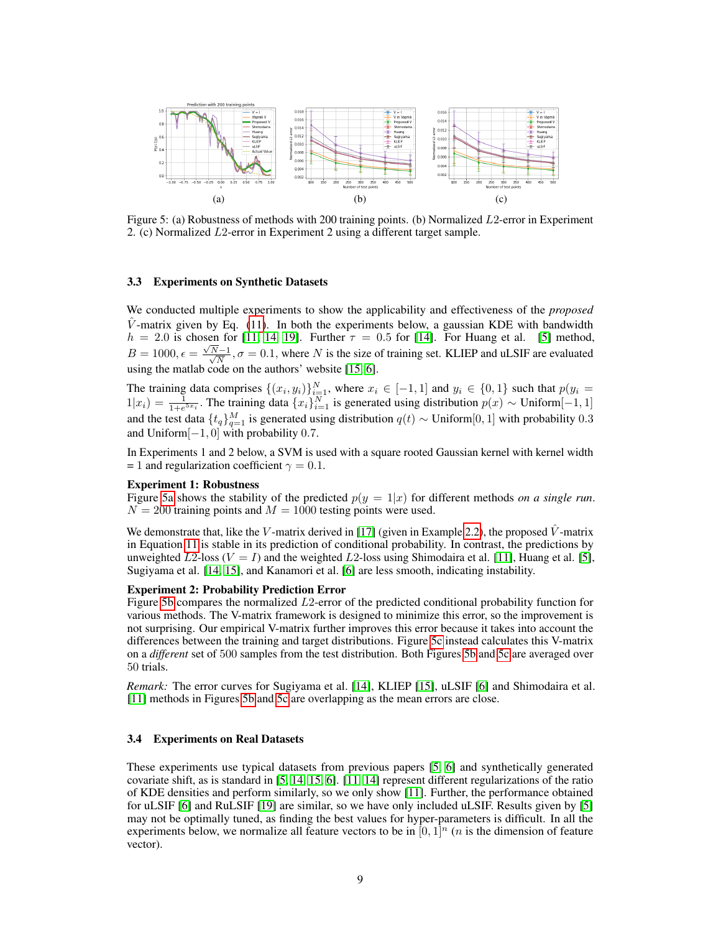<span id="page-8-2"></span><span id="page-8-1"></span><span id="page-8-0"></span>

Figure 5: (a) Robustness of methods with 200 training points. (b) Normalized L2-error in Experiment 2. (c) Normalized L2-error in Experiment 2 using a different target sample.

#### 3.3 Experiments on Synthetic Datasets

We conducted multiple experiments to show the applicability and effectiveness of the *proposed*  $\hat{V}$ -matrix given by Eq. [\(11\)](#page-5-1). In both the experiments below, a gaussian KDE with bandwidth  $h = 2.0$  is chosen for [\[11,](#page-13-0) [14,](#page-14-0) [19\]](#page-14-1). Further  $\tau = 0.5$  for [\[14\]](#page-14-0). For Huang et al. [\[5\]](#page-13-4) method,  $B = 1000, \epsilon = \frac{\sqrt{3}}{2}$  $\frac{N-1}{2}$  $\frac{N-1}{N}$ ,  $\sigma = 0.1$ , where N is the size of training set. KLIEP and uLSIF are evaluated using the matlab code on the authors' website [\[15,](#page-14-3) [6\]](#page-13-3).

The training data comprises  $\{(x_i, y_i)\}_{i=1}^N$ , where  $x_i \in [-1, 1]$  and  $y_i \in \{0, 1\}$  such that  $p(y_i =$  $1|x_i) = \frac{1}{1+e^{5x_i}}$ . The training data  ${x_i}_{i=1}^N$  is generated using distribution  $p(x) \sim$  Uniform[−1, 1] and the test data  $\{t_q\}_{q=1}^M$  is generated using distribution  $q(t) \sim$  Uniform[0, 1] with probability 0.3 and Uniform[−1, 0] with probability 0.7.

In Experiments 1 and 2 below, a SVM is used with a square rooted Gaussian kernel with kernel width = 1 and regularization coefficient  $\gamma = 0.1$ .

#### Experiment 1: Robustness

Figure [5a](#page-8-0) shows the stability of the predicted  $p(y = 1|x)$  for different methods *on a single run*.  $N = 200$  training points and  $M = 1000$  testing points were used.

We demonstrate that, like the V-matrix derived in [\[17\]](#page-14-4) (given in Example [2.2\)](#page-4-1), the proposed  $\hat{V}$ -matrix in Equation [11](#page-5-1) is stable in its prediction of conditional probability. In contrast, the predictions by unweighted  $L2$ -loss ( $V = I$ ) and the weighted  $L2$ -loss using Shimodaira et al. [\[11\]](#page-13-0), Huang et al. [\[5\]](#page-13-4), Sugiyama et al. [\[14,](#page-14-0) [15\]](#page-14-3), and Kanamori et al. [\[6\]](#page-13-3) are less smooth, indicating instability.

#### Experiment 2: Probability Prediction Error

Figure [5b](#page-8-1) compares the normalized L2-error of the predicted conditional probability function for various methods. The V-matrix framework is designed to minimize this error, so the improvement is not surprising. Our empirical V-matrix further improves this error because it takes into account the differences between the training and target distributions. Figure [5c](#page-8-2) instead calculates this V-matrix on a *different* set of 500 samples from the test distribution. Both Figures [5b](#page-8-1) and [5c](#page-8-2) are averaged over 50 trials.

*Remark:* The error curves for Sugiyama et al. [\[14\]](#page-14-0), KLIEP [\[15\]](#page-14-3), uLSIF [\[6\]](#page-13-3) and Shimodaira et al. [\[11\]](#page-13-0) methods in Figures [5b](#page-8-1) and [5c](#page-8-2) are overlapping as the mean errors are close.

## 3.4 Experiments on Real Datasets

These experiments use typical datasets from previous papers [\[5,](#page-13-4) [6\]](#page-13-3) and synthetically generated covariate shift, as is standard in [\[5,](#page-13-4) [14,](#page-14-0) [15,](#page-14-3) [6\]](#page-13-3). [\[11,](#page-13-0) [14\]](#page-14-0) represent different regularizations of the ratio of KDE densities and perform similarly, so we only show [\[11\]](#page-13-0). Further, the performance obtained for uLSIF [\[6\]](#page-13-3) and RuLSIF [\[19\]](#page-14-1) are similar, so we have only included uLSIF. Results given by [\[5\]](#page-13-4) may not be optimally tuned, as finding the best values for hyper-parameters is difficult. In all the experiments below, we normalize all feature vectors to be in  $[0, 1]^n$  (*n* is the dimension of feature vector).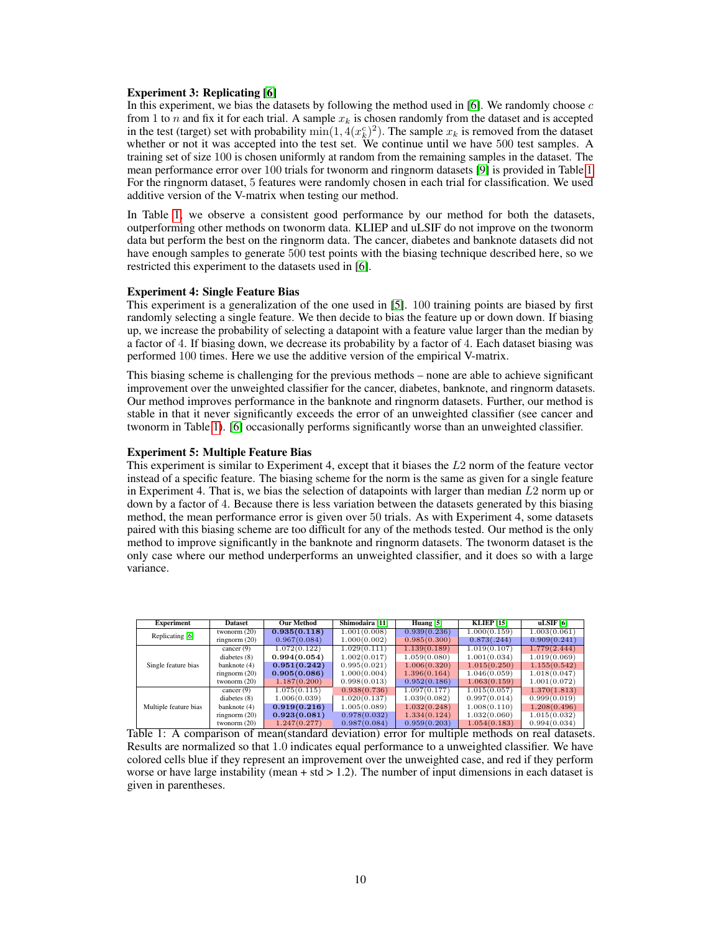### Experiment 3: Replicating [\[6\]](#page-13-3)

In this experiment, we bias the datasets by following the method used in [\[6\]](#page-13-3). We randomly choose  $c$ from 1 to n and fix it for each trial. A sample  $x_k$  is chosen randomly from the dataset and is accepted in the test (target) set with probability  $\min(1, 4(x_k^c))^2$ ). The sample  $x_k$  is removed from the dataset whether or not it was accepted into the test set. We continue until we have 500 test samples. A training set of size 100 is chosen uniformly at random from the remaining samples in the dataset. The mean performance error over 100 trials for twonorm and ringnorm datasets [\[9\]](#page-13-6) is provided in Table [1.](#page-9-0) For the ringnorm dataset, 5 features were randomly chosen in each trial for classification. We used additive version of the V-matrix when testing our method.

In Table [1,](#page-9-0) we observe a consistent good performance by our method for both the datasets, outperforming other methods on twonorm data. KLIEP and uLSIF do not improve on the twonorm data but perform the best on the ringnorm data. The cancer, diabetes and banknote datasets did not have enough samples to generate 500 test points with the biasing technique described here, so we restricted this experiment to the datasets used in [\[6\]](#page-13-3).

#### Experiment 4: Single Feature Bias

This experiment is a generalization of the one used in [\[5\]](#page-13-4). 100 training points are biased by first randomly selecting a single feature. We then decide to bias the feature up or down down. If biasing up, we increase the probability of selecting a datapoint with a feature value larger than the median by a factor of 4. If biasing down, we decrease its probability by a factor of 4. Each dataset biasing was performed 100 times. Here we use the additive version of the empirical V-matrix.

This biasing scheme is challenging for the previous methods – none are able to achieve significant improvement over the unweighted classifier for the cancer, diabetes, banknote, and ringnorm datasets. Our method improves performance in the banknote and ringnorm datasets. Further, our method is stable in that it never significantly exceeds the error of an unweighted classifier (see cancer and twonorm in Table [1\)](#page-9-0). [\[6\]](#page-13-3) occasionally performs significantly worse than an unweighted classifier.

# Experiment 5: Multiple Feature Bias

This experiment is similar to Experiment 4, except that it biases the L2 norm of the feature vector instead of a specific feature. The biasing scheme for the norm is the same as given for a single feature in Experiment 4. That is, we bias the selection of datapoints with larger than median  $L2$  norm up or down by a factor of 4. Because there is less variation between the datasets generated by this biasing method, the mean performance error is given over 50 trials. As with Experiment 4, some datasets paired with this biasing scheme are too difficult for any of the methods tested. Our method is the only method to improve significantly in the banknote and ringnorm datasets. The twonorm dataset is the only case where our method underperforms an unweighted classifier, and it does so with a large variance.

<span id="page-9-0"></span>

| <b>Experiment</b>     | <b>Dataset</b>  | <b>Our Method</b> | Shimodaira [11] | Huang [5]    | <b>KLIEP</b> [15] | uLSIF [6]    |
|-----------------------|-----------------|-------------------|-----------------|--------------|-------------------|--------------|
| Replicating [6]       | twonorm $(20)$  | 0.935(0.118)      | 1.001(0.008)    | 0.939(0.236) | 1.000(0.159)      | 1.003(0.061) |
|                       | ringnorm $(20)$ | 0.967(0.084)      | 1.000(0.002)    | 0.985(0.300) | 0.873(.244)       | 0.909(0.241) |
| Single feature bias   | cancer $(9)$    | 1.072(0.122)      | 1.029(0.111)    | 1.139(0.189) | 1.019(0.107)      | 1.779(2.444) |
|                       | diabetes $(8)$  | 0.994(0.054)      | 1.002(0.017)    | 1.059(0.080) | 1.001(0.034)      | 1.019(0.069) |
|                       | banknote (4)    | 0.951(0.242)      | 0.995(0.021)    | 1.006(0.320) | 1.015(0.250)      | 1.155(0.542) |
|                       | ringnorm $(20)$ | 0.905(0.086)      | 1.000(0.004)    | 1.396(0.164) | 1.046(0.059)      | 1.018(0.047) |
|                       | twonorm $(20)$  | 1.187(0.200)      | 0.998(0.013)    | 0.952(0.186) | 1.063(0.159)      | 1.001(0.072) |
| Multiple feature bias | cancer $(9)$    | 1.075(0.115)      | 0.938(0.736)    | 1.097(0.177) | 1.015(0.057)      | 1.370(1.813) |
|                       | diabetes $(8)$  | 1.006(0.039)      | 1.020(0.137)    | 1.039(0.082) | 0.997(0.014)      | 0.999(0.019) |
|                       | banknote (4)    | 0.919(0.216)      | 1.005(0.089)    | 1.032(0.248) | 1.008(0.110)      | 1.208(0.496) |
|                       | ringnorm $(20)$ | 0.923(0.081)      | 0.978(0.032)    | 1.334(0.124) | 1.032(0.060)      | 1.015(0.032) |
|                       | twonorm $(20)$  | 1.247(0.277)      | 0.987(0.084)    | 0.959(0.203) | 1.054(0.183)      | 0.994(0.034) |

Table 1: A comparison of mean(standard deviation) error for multiple methods on real datasets. Results are normalized so that 1.0 indicates equal performance to a unweighted classifier. We have colored cells blue if they represent an improvement over the unweighted case, and red if they perform worse or have large instability (mean  $+$  std  $> 1.2$ ). The number of input dimensions in each dataset is given in parentheses.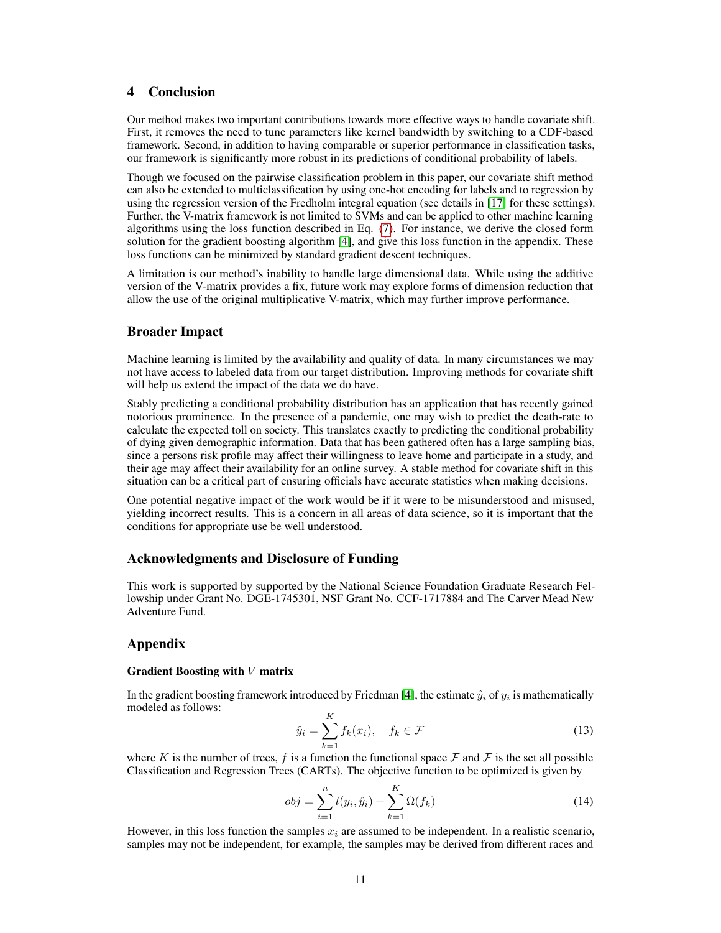# <span id="page-10-0"></span>4 Conclusion

Our method makes two important contributions towards more effective ways to handle covariate shift. First, it removes the need to tune parameters like kernel bandwidth by switching to a CDF-based framework. Second, in addition to having comparable or superior performance in classification tasks, our framework is significantly more robust in its predictions of conditional probability of labels.

Though we focused on the pairwise classification problem in this paper, our covariate shift method can also be extended to multiclassification by using one-hot encoding for labels and to regression by using the regression version of the Fredholm integral equation (see details in [\[17\]](#page-14-4) for these settings). Further, the V-matrix framework is not limited to SVMs and can be applied to other machine learning algorithms using the loss function described in Eq. [\(7\)](#page-3-5). For instance, we derive the closed form solution for the gradient boosting algorithm [\[4\]](#page-13-11), and give this loss function in the appendix. These loss functions can be minimized by standard gradient descent techniques.

A limitation is our method's inability to handle large dimensional data. While using the additive version of the V-matrix provides a fix, future work may explore forms of dimension reduction that allow the use of the original multiplicative V-matrix, which may further improve performance.

## Broader Impact

Machine learning is limited by the availability and quality of data. In many circumstances we may not have access to labeled data from our target distribution. Improving methods for covariate shift will help us extend the impact of the data we do have.

Stably predicting a conditional probability distribution has an application that has recently gained notorious prominence. In the presence of a pandemic, one may wish to predict the death-rate to calculate the expected toll on society. This translates exactly to predicting the conditional probability of dying given demographic information. Data that has been gathered often has a large sampling bias, since a persons risk profile may affect their willingness to leave home and participate in a study, and their age may affect their availability for an online survey. A stable method for covariate shift in this situation can be a critical part of ensuring officials have accurate statistics when making decisions.

One potential negative impact of the work would be if it were to be misunderstood and misused, yielding incorrect results. This is a concern in all areas of data science, so it is important that the conditions for appropriate use be well understood.

# Acknowledgments and Disclosure of Funding

This work is supported by supported by the National Science Foundation Graduate Research Fellowship under Grant No. DGE-1745301, NSF Grant No. CCF-1717884 and The Carver Mead New Adventure Fund.

# Appendix

#### Gradient Boosting with  $V$  matrix

In the gradient boosting framework introduced by Friedman [\[4\]](#page-13-11), the estimate  $\hat{y}_i$  of  $y_i$  is mathematically modeled as follows:

$$
\hat{y}_i = \sum_{k=1}^K f_k(x_i), \quad f_k \in \mathcal{F}
$$
\n(13)

where K is the number of trees, f is a function the functional space F and F is the set all possible Classification and Regression Trees (CARTs). The objective function to be optimized is given by

$$
obj = \sum_{i=1}^{n} l(y_i, \hat{y}_i) + \sum_{k=1}^{K} \Omega(f_k)
$$
\n(14)

However, in this loss function the samples  $x_i$  are assumed to be independent. In a realistic scenario, samples may not be independent, for example, the samples may be derived from different races and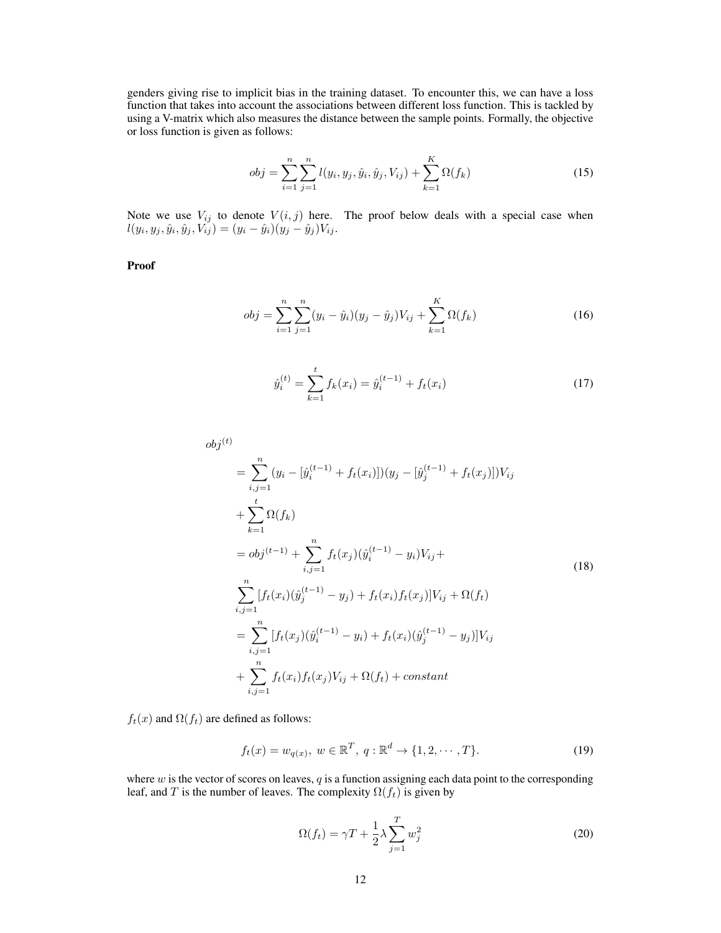genders giving rise to implicit bias in the training dataset. To encounter this, we can have a loss function that takes into account the associations between different loss function. This is tackled by using a V-matrix which also measures the distance between the sample points. Formally, the objective or loss function is given as follows:

$$
obj = \sum_{i=1}^{n} \sum_{j=1}^{n} l(y_i, y_j, \hat{y}_i, \hat{y}_j, V_{ij}) + \sum_{k=1}^{K} \Omega(f_k)
$$
\n(15)

Note we use  $V_{ij}$  to denote  $V(i, j)$  here. The proof below deals with a special case when  $l(y_i, y_j, \hat{y}_i, \hat{y}_j, V_{ij}) = (y_i - \hat{y}_i)(y_j - \hat{y}_j)V_{ij}.$ 

Proof

$$
obj = \sum_{i=1}^{n} \sum_{j=1}^{n} (y_i - \hat{y}_i)(y_j - \hat{y}_j)V_{ij} + \sum_{k=1}^{K} \Omega(f_k)
$$
 (16)

$$
\hat{y}_i^{(t)} = \sum_{k=1}^t f_k(x_i) = \hat{y}_i^{(t-1)} + f_t(x_i)
$$
\n(17)

$$
obj^{(t)} = \sum_{i,j=1}^{n} (y_i - [\hat{y}_i^{(t-1)} + f_t(x_i)])(y_j - [\hat{y}_j^{(t-1)} + f_t(x_j)])V_{ij}
$$
  
+ 
$$
\sum_{k=1}^{t} \Omega(f_k)
$$
  
=  $obj^{(t-1)} + \sum_{i,j=1}^{n} f_t(x_j)(\hat{y}_i^{(t-1)} - y_i)V_{ij} + \sum_{i,j=1}^{n} [f_t(x_i)(\hat{y}_j^{(t-1)} - y_j) + f_t(x_i)f_t(x_j)]V_{ij} + \Omega(f_t)$   
= 
$$
\sum_{i,j=1}^{n} [f_t(x_j)(\hat{y}_i^{(t-1)} - y_i) + f_t(x_i)(\hat{y}_j^{(t-1)} - y_j)]V_{ij}
$$
  
+ 
$$
\sum_{i,j=1}^{n} f_t(x_i)f_t(x_j)V_{ij} + \Omega(f_t) + constant
$$

 $f_t(x)$  and  $\Omega(f_t)$  are defined as follows:

$$
f_t(x) = w_{q(x)}, \ w \in \mathbb{R}^T, \ q: \mathbb{R}^d \to \{1, 2, \cdots, T\}.
$$
 (19)

where  $w$  is the vector of scores on leaves,  $q$  is a function assigning each data point to the corresponding leaf, and T is the number of leaves. The complexity  $\Omega(f_t)$  is given by

$$
\Omega(f_t) = \gamma T + \frac{1}{2}\lambda \sum_{j=1}^T w_j^2 \tag{20}
$$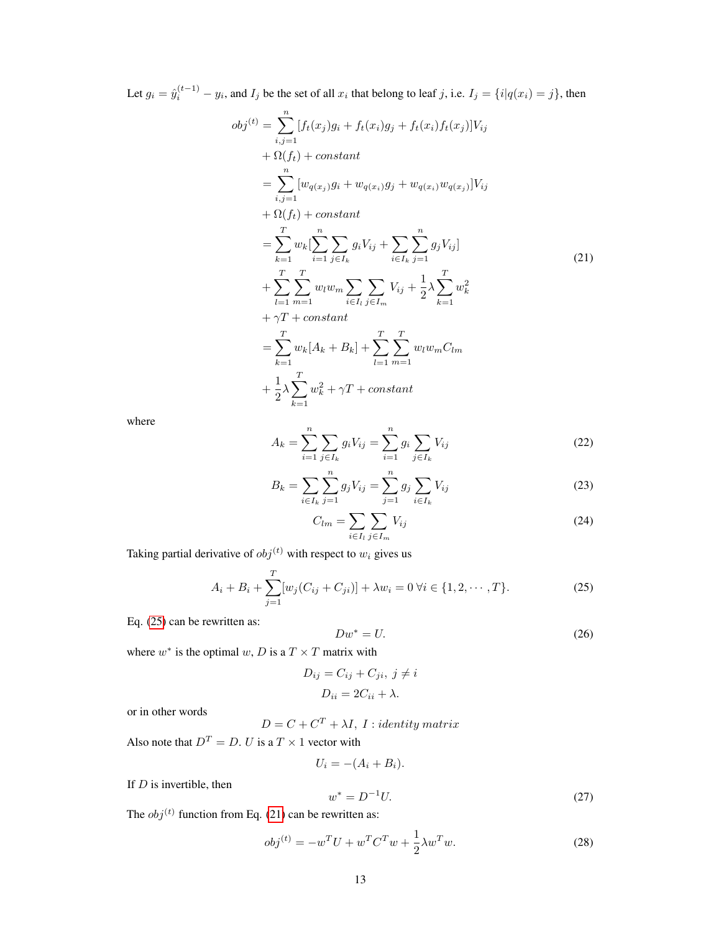Let  $g_i = \hat{y}_i^{(t-1)} - y_i$ , and  $I_j$  be the set of all  $x_i$  that belong to leaf j, i.e.  $I_j = \{i | q(x_i) = j\}$ , then

<span id="page-12-1"></span>
$$
obj^{(t)} = \sum_{i,j=1}^{n} [f_t(x_j)g_i + f_t(x_i)g_j + f_t(x_i)f_t(x_j)]V_{ij}
$$
  
+  $\Omega(f_t) + constant$   
=  $\sum_{i,j=1}^{n} [w_{q(x_j)}g_i + w_{q(x_i)}g_j + w_{q(x_i)}w_{q(x_j)}]V_{ij}$   
+  $\Omega(f_t) + constant$   
=  $\sum_{k=1}^{T} w_k [\sum_{i=1}^{n} \sum_{j \in I_k} g_i V_{ij} + \sum_{i \in I_k} \sum_{j=1}^{n} g_j V_{ij}]$   
+  $\sum_{l=1}^{T} \sum_{m=1}^{T} w_l w_m \sum_{i \in I_l} \sum_{j \in I_m} V_{ij} + \frac{1}{2} \lambda \sum_{k=1}^{T} w_k^2$   
+  $\gamma T + constant$   
=  $\sum_{k=1}^{T} w_k [A_k + B_k] + \sum_{l=1}^{T} \sum_{m=1}^{T} w_l w_m C_{lm}$   
+  $\frac{1}{2} \lambda \sum_{k=1}^{T} w_k^2 + \gamma T + constant$ 

where

$$
A_k = \sum_{i=1}^n \sum_{j \in I_k} g_i V_{ij} = \sum_{i=1}^n g_i \sum_{j \in I_k} V_{ij}
$$
 (22)

$$
B_k = \sum_{i \in I_k} \sum_{j=1}^n g_j V_{ij} = \sum_{j=1}^n g_j \sum_{i \in I_k} V_{ij}
$$
 (23)

<span id="page-12-0"></span>
$$
C_{lm} = \sum_{i \in I_l} \sum_{j \in I_m} V_{ij} \tag{24}
$$

Taking partial derivative of  $obj^{(t)}$  with respect to  $w_i$  gives us

$$
A_i + B_i + \sum_{j=1}^{T} [w_j(C_{ij} + C_{ji})] + \lambda w_i = 0 \,\forall i \in \{1, 2, \cdots, T\}.
$$
 (25)

Eq. [\(25\)](#page-12-0) can be rewritten as:

$$
Dw^* = U.\t\t(26)
$$

where  $w^*$  is the optimal  $w$ , D is a  $T \times T$  matrix with

$$
D_{ij} = C_{ij} + C_{ji}, \ j \neq i
$$

$$
D_{ii} = 2C_{ii} + \lambda.
$$

or in other words

 $D = C + C^T + \lambda I, I: identity matrix$ 

Also note that  $D^T = D$ . U is a  $T \times 1$  vector with

$$
U_i = -(A_i + B_i).
$$

If  $D$  is invertible, then

$$
w^* = D^{-1}U.\t\t(27)
$$

The  $obj^{(t)}$  function from Eq. [\(21\)](#page-12-1) can be rewritten as:

$$
obj^{(t)} = -w^{T}U + w^{T}C^{T}w + \frac{1}{2}\lambda w^{T}w.
$$
\n(28)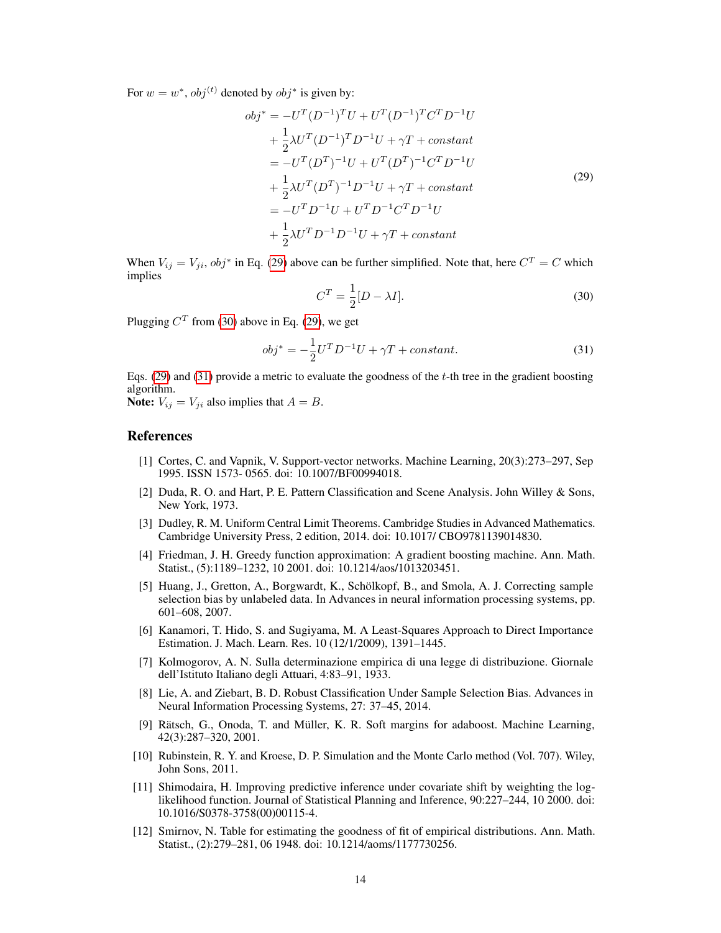For  $w = w^*$ ,  $obj^{(t)}$  denoted by  $obj^*$  is given by:

<span id="page-13-12"></span>
$$
obj^* = -U^T (D^{-1})^T U + U^T (D^{-1})^T C^T D^{-1} U
$$
  
+  $\frac{1}{2} \lambda U^T (D^{-1})^T D^{-1} U + \gamma T + constant$   
=  $-U^T (D^T)^{-1} U + U^T (D^T)^{-1} C^T D^{-1} U$   
+  $\frac{1}{2} \lambda U^T (D^T)^{-1} D^{-1} U + \gamma T + constant$   
=  $-U^T D^{-1} U + U^T D^{-1} C^T D^{-1} U$   
+  $\frac{1}{2} \lambda U^T D^{-1} D^{-1} U + \gamma T + constant$  (29)

<span id="page-13-13"></span>When  $V_{ij} = V_{ji}$ ,  $obj^*$  in Eq. [\(29\)](#page-13-12) above can be further simplified. Note that, here  $C^T = C$  which implies

<span id="page-13-14"></span>
$$
C^T = \frac{1}{2}[D - \lambda I].
$$
\n(30)

Plugging  $C^T$  from [\(30\)](#page-13-13) above in Eq. [\(29\)](#page-13-12), we get

$$
obj^* = -\frac{1}{2}U^T D^{-1}U + \gamma T + constant.
$$
\n(31)

Eqs. [\(29\)](#page-13-12) and [\(31\)](#page-13-14) provide a metric to evaluate the goodness of the  $t$ -th tree in the gradient boosting algorithm.

**Note:**  $V_{ij} = V_{ji}$  also implies that  $A = B$ .

# References

- <span id="page-13-7"></span>[1] Cortes, C. and Vapnik, V. Support-vector networks. Machine Learning, 20(3):273–297, Sep 1995. ISSN 1573- 0565. doi: 10.1007/BF00994018.
- <span id="page-13-2"></span>[2] Duda, R. O. and Hart, P. E. Pattern Classification and Scene Analysis. John Willey & Sons, New York, 1973.
- <span id="page-13-10"></span>[3] Dudley, R. M. Uniform Central Limit Theorems. Cambridge Studies in Advanced Mathematics. Cambridge University Press, 2 edition, 2014. doi: 10.1017/ CBO9781139014830.
- <span id="page-13-11"></span>[4] Friedman, J. H. Greedy function approximation: A gradient boosting machine. Ann. Math. Statist., (5):1189–1232, 10 2001. doi: 10.1214/aos/1013203451.
- <span id="page-13-4"></span>[5] Huang, J., Gretton, A., Borgwardt, K., Schölkopf, B., and Smola, A. J. Correcting sample selection bias by unlabeled data. In Advances in neural information processing systems, pp. 601–608, 2007.
- <span id="page-13-3"></span>[6] Kanamori, T. Hido, S. and Sugiyama, M. A Least-Squares Approach to Direct Importance Estimation. J. Mach. Learn. Res. 10 (12/1/2009), 1391–1445.
- <span id="page-13-8"></span>[7] Kolmogorov, A. N. Sulla determinazione empirica di una legge di distribuzione. Giornale dell'Istituto Italiano degli Attuari, 4:83–91, 1933.
- <span id="page-13-5"></span>[8] Lie, A. and Ziebart, B. D. Robust Classification Under Sample Selection Bias. Advances in Neural Information Processing Systems, 27: 37–45, 2014.
- <span id="page-13-6"></span>[9] Rätsch, G., Onoda, T. and Müller, K. R. Soft margins for adaboost. Machine Learning, 42(3):287–320, 2001.
- <span id="page-13-1"></span>[10] Rubinstein, R. Y. and Kroese, D. P. Simulation and the Monte Carlo method (Vol. 707). Wiley, John Sons, 2011.
- <span id="page-13-0"></span>[11] Shimodaira, H. Improving predictive inference under covariate shift by weighting the loglikelihood function. Journal of Statistical Planning and Inference, 90:227–244, 10 2000. doi: 10.1016/S0378-3758(00)00115-4.
- <span id="page-13-9"></span>[12] Smirnov, N. Table for estimating the goodness of fit of empirical distributions. Ann. Math. Statist., (2):279–281, 06 1948. doi: 10.1214/aoms/1177730256.